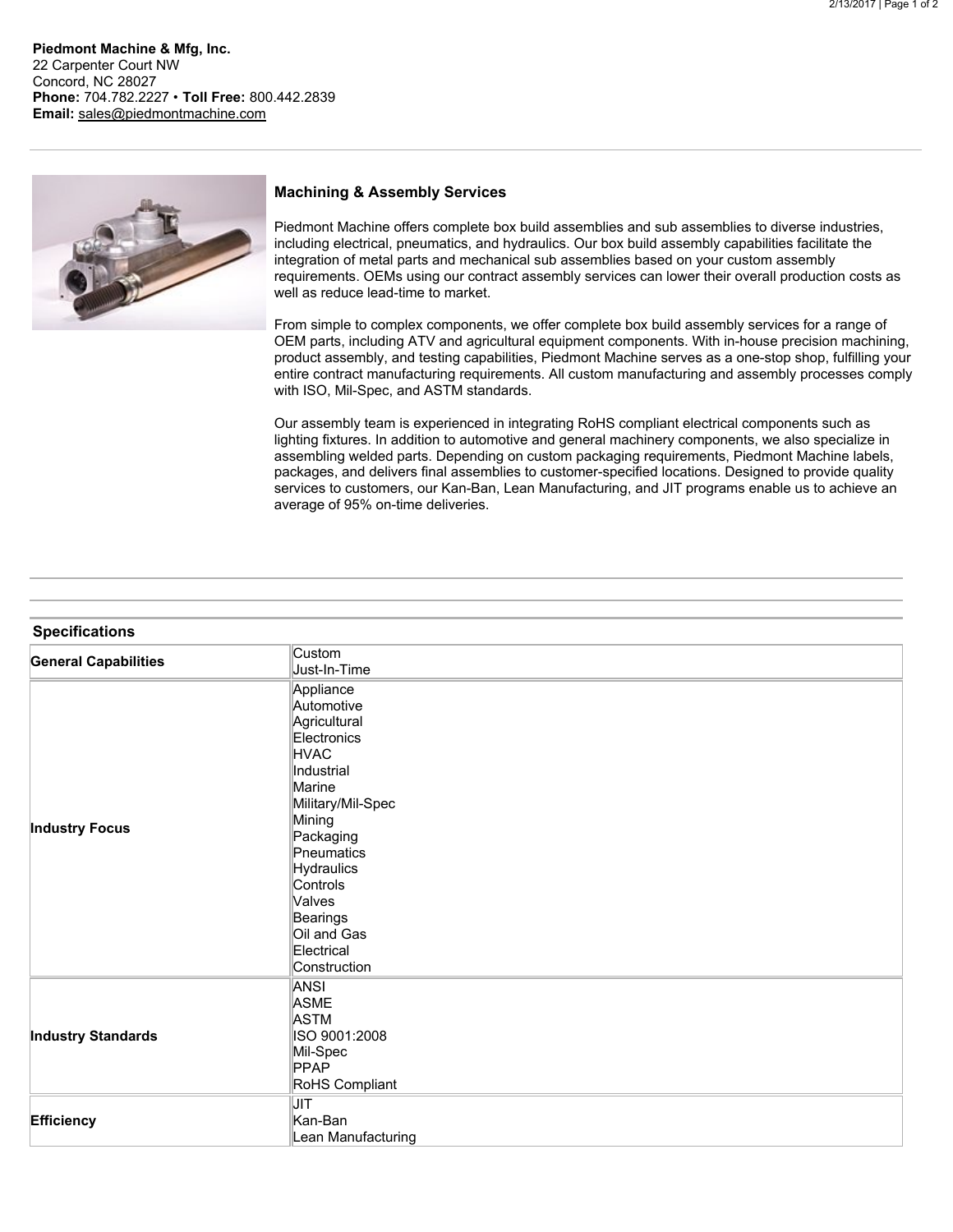**Piedmont Machine & Mfg, Inc.** 22 Carpenter Court NW Concord, NC 28027 **Phone:** 704.782.2227 • **Toll Free:** 800.442.2839 **Email:** [sales@piedmontmachine.com](mailto:sales@piedmontmachine.com)



## **Machining & Assembly Services**

Piedmont Machine offers complete box build assemblies and sub assemblies to diverse industries, including electrical, pneumatics, and hydraulics. Our box build assembly capabilities facilitate the integration of metal parts and mechanical sub assemblies based on your custom assembly requirements. OEMs using our contract assembly services can lower their overall production costs as well as reduce lead-time to market.

From simple to complex components, we offer complete box build assembly services for a range of OEM parts, including ATV and agricultural equipment components. With in-house precision machining, product assembly, and testing capabilities, Piedmont Machine serves as a one-stop shop, fulfilling your entire contract manufacturing requirements. All custom manufacturing and assembly processes comply with ISO, Mil-Spec, and ASTM standards.

Our assembly team is experienced in integrating RoHS compliant electrical components such as lighting fixtures. In addition to automotive and general machinery components, we also specialize in assembling welded parts. Depending on custom packaging requirements, Piedmont Machine labels, packages, and delivers final assemblies to customer-specified locations. Designed to provide quality services to customers, our Kan-Ban, Lean Manufacturing, and JIT programs enable us to achieve an average of 95% on-time deliveries.

| <b>Specifications</b>       |                                                                                                                                                                                                                                                      |
|-----------------------------|------------------------------------------------------------------------------------------------------------------------------------------------------------------------------------------------------------------------------------------------------|
| <b>General Capabilities</b> | Custom<br>Just-In-Time                                                                                                                                                                                                                               |
| <b>Industry Focus</b>       | Appliance<br>Automotive<br>Agricultural<br>Electronics<br><b>HVAC</b><br>Industrial<br>Marine<br>Military/Mil-Spec<br>Mining<br>Packaging<br>Pneumatics<br>Hydraulics<br>Controls<br>Valves<br>Bearings<br>Oil and Gas<br>Electrical<br>Construction |
| <b>Industry Standards</b>   | <b>ANSI</b><br><b>ASME</b><br><b>ASTM</b><br>ISO 9001:2008<br>Mil-Spec<br><b>PPAP</b><br>RoHS Compliant                                                                                                                                              |
| Efficiency                  | <b>JIT</b><br>Kan-Ban<br>Lean Manufacturing                                                                                                                                                                                                          |